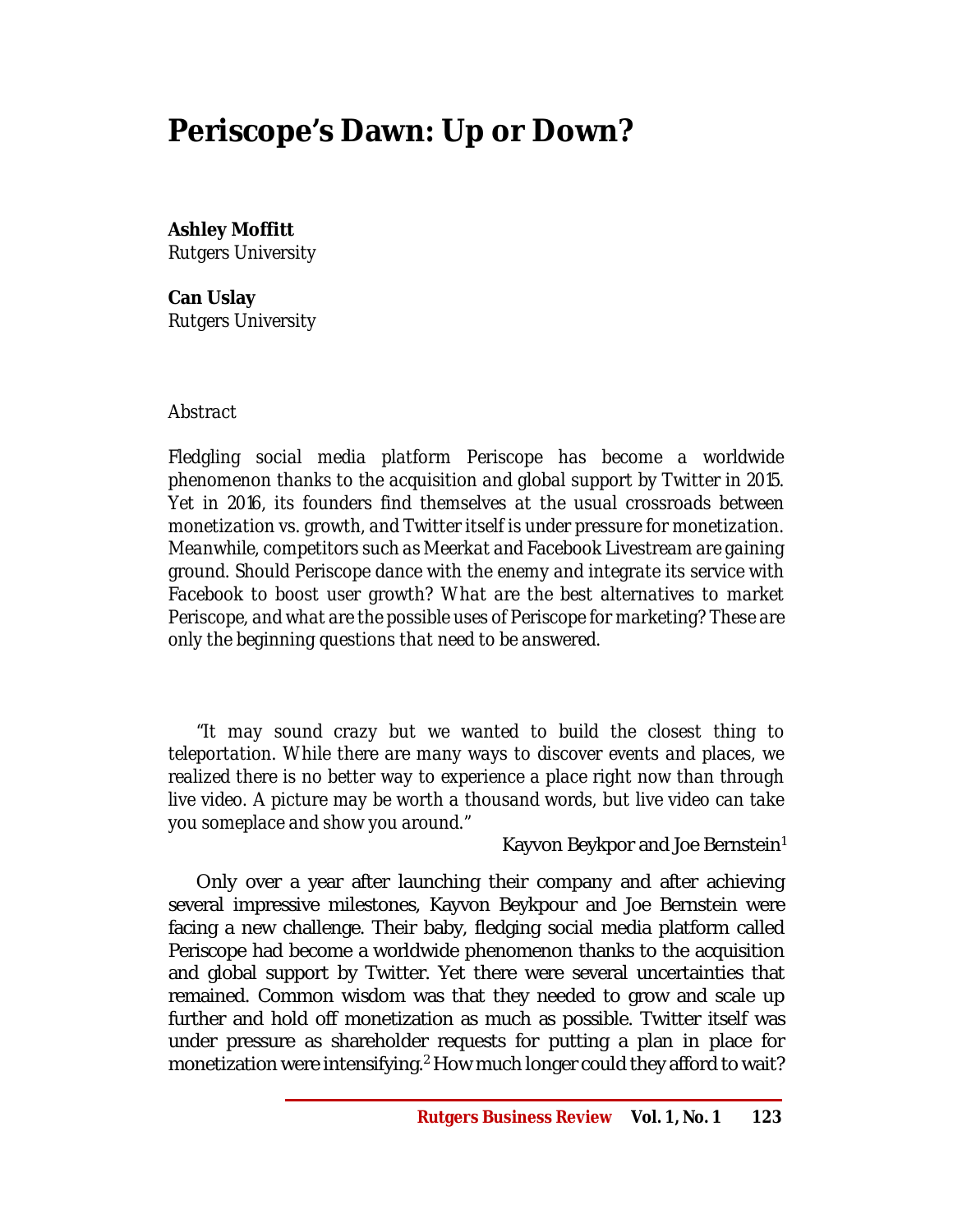# **Periscope's Dawn: Up or Down?**

**Ashley Moffitt** *Rutgers University*

**Can Uslay** *Rutgers University*

### *Abstract*

*Fledgling social media platform Periscope has become a worldwide phenomenon thanks to the acquisition and global support by Twitter in 2015. Yet in 2016, its founders find themselves at the usual crossroads between monetization vs. growth, and Twitter itself is under pressure for monetization. Meanwhile, competitors such as Meerkat and Facebook Livestream are gaining ground. Should Periscope dance with the enemy and integrate its service with Facebook to boost user growth? What are the best alternatives to market Periscope, and what are the possible uses of Periscope for marketing? These are only the beginning questions that need to be answered.*

*"It may sound crazy but we wanted to build the closest thing to teleportation. While there are many ways to discover events and places, we realized there is no better way to experience a place right now than through live video. A picture may be worth a thousand words, but live video can take you someplace and show you around."*

Kayvon Beykpor and Joe Bernstein<sup>1</sup>

Only over a year after launching their company and after achieving several impressive milestones, Kayvon Beykpour and Joe Bernstein were facing a new challenge. Their baby, fledging social media platform called Periscope had become a worldwide phenomenon thanks to the acquisition and global support by Twitter. Yet there were several uncertainties that remained. Common wisdom was that they needed to grow and scale up further and hold off monetization as much as possible. Twitter itself was under pressure as shareholder requests for putting a plan in place for monetization were intensifying.<sup>2</sup> How much longer could they afford to wait?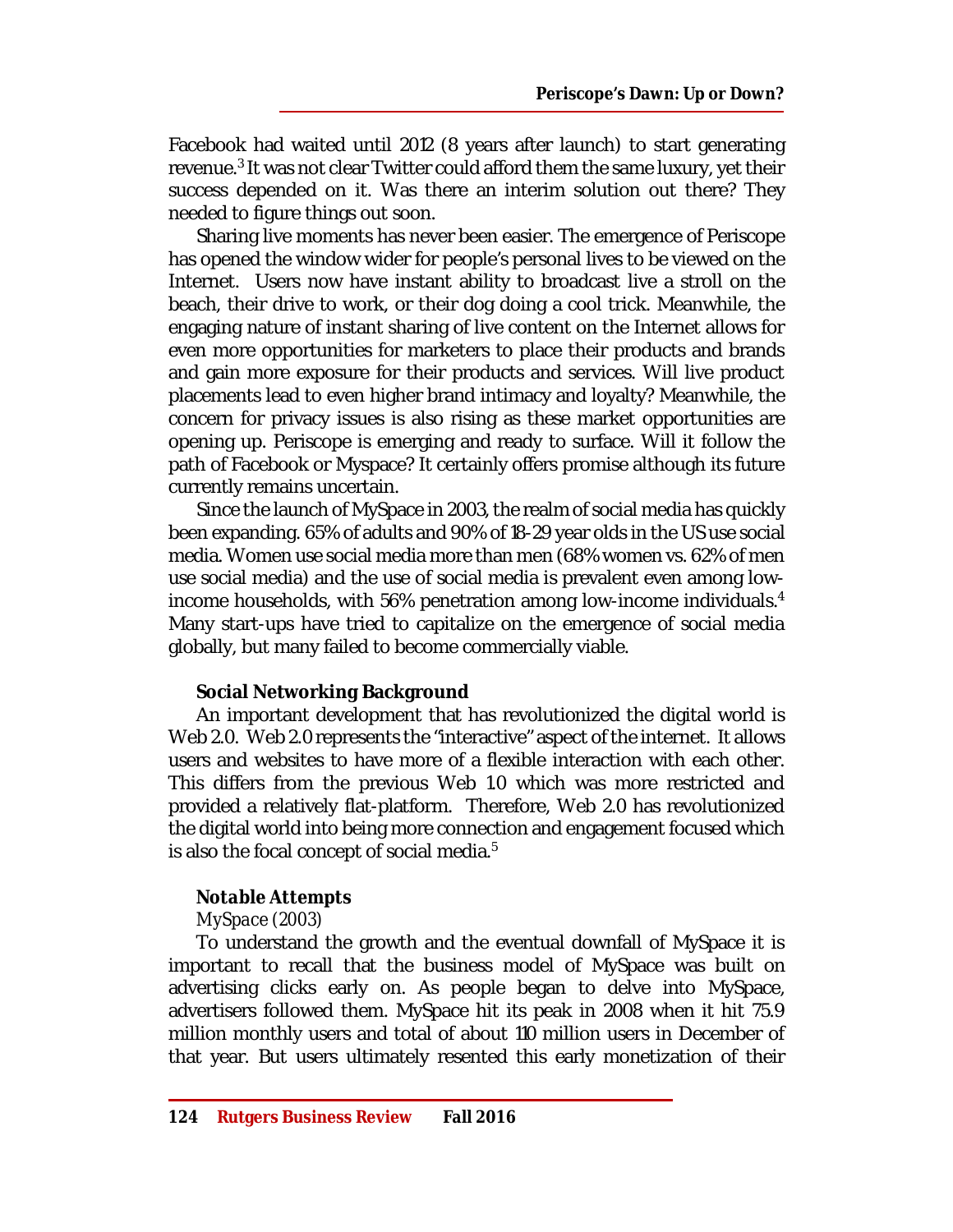Facebook had waited until 2012 (8 years after launch) to start generating revenue.<sup>3</sup> It was not clear Twitter could afford them the same luxury, yet their success depended on it. Was there an interim solution out there? They needed to figure things out soon.

Sharing live moments has never been easier. The emergence of Periscope has opened the window wider for people's personal lives to be viewed on the Internet. Users now have instant ability to broadcast live a stroll on the beach, their drive to work, or their dog doing a cool trick. Meanwhile, the engaging nature of instant sharing of live content on the Internet allows for even more opportunities for marketers to place their products and brands and gain more exposure for their products and services. Will live product placements lead to even higher brand intimacy and loyalty? Meanwhile, the concern for privacy issues is also rising as these market opportunities are opening up. Periscope is emerging and ready to surface. Will it follow the path of Facebook or Myspace? It certainly offers promise although its future currently remains uncertain.

Since the launch of MySpace in 2003, the realm of social media has quickly been expanding. 65% of adults and 90% of 18-29 year olds in the US use social media. Women use social media more than men (68% women vs. 62% of men use social media) and the use of social media is prevalent even among lowincome households, with 56% penetration among low-income individuals.<sup>4</sup> Many start-ups have tried to capitalize on the emergence of social media globally, but many failed to become commercially viable.

# **Social Networking Background**

An important development that has revolutionized the digital world is Web 2.0. Web 2.0 represents the "interactive" aspect of the internet. It allows users and websites to have more of a flexible interaction with each other. This differs from the previous Web 1.0 which was more restricted and provided a relatively flat-platform. Therefore, Web 2.0 has revolutionized the digital world into being more connection and engagement focused which is also the focal concept of social media.<sup>5</sup>

# *Notable Attempts*

# *MySpace (2003)*

To understand the growth and the eventual downfall of MySpace it is important to recall that the business model of MySpace was built on advertising clicks early on. As people began to delve into MySpace, advertisers followed them. MySpace hit its peak in 2008 when it hit 75.9 million monthly users and total of about 110 million users in December of that year. But users ultimately resented this early monetization of their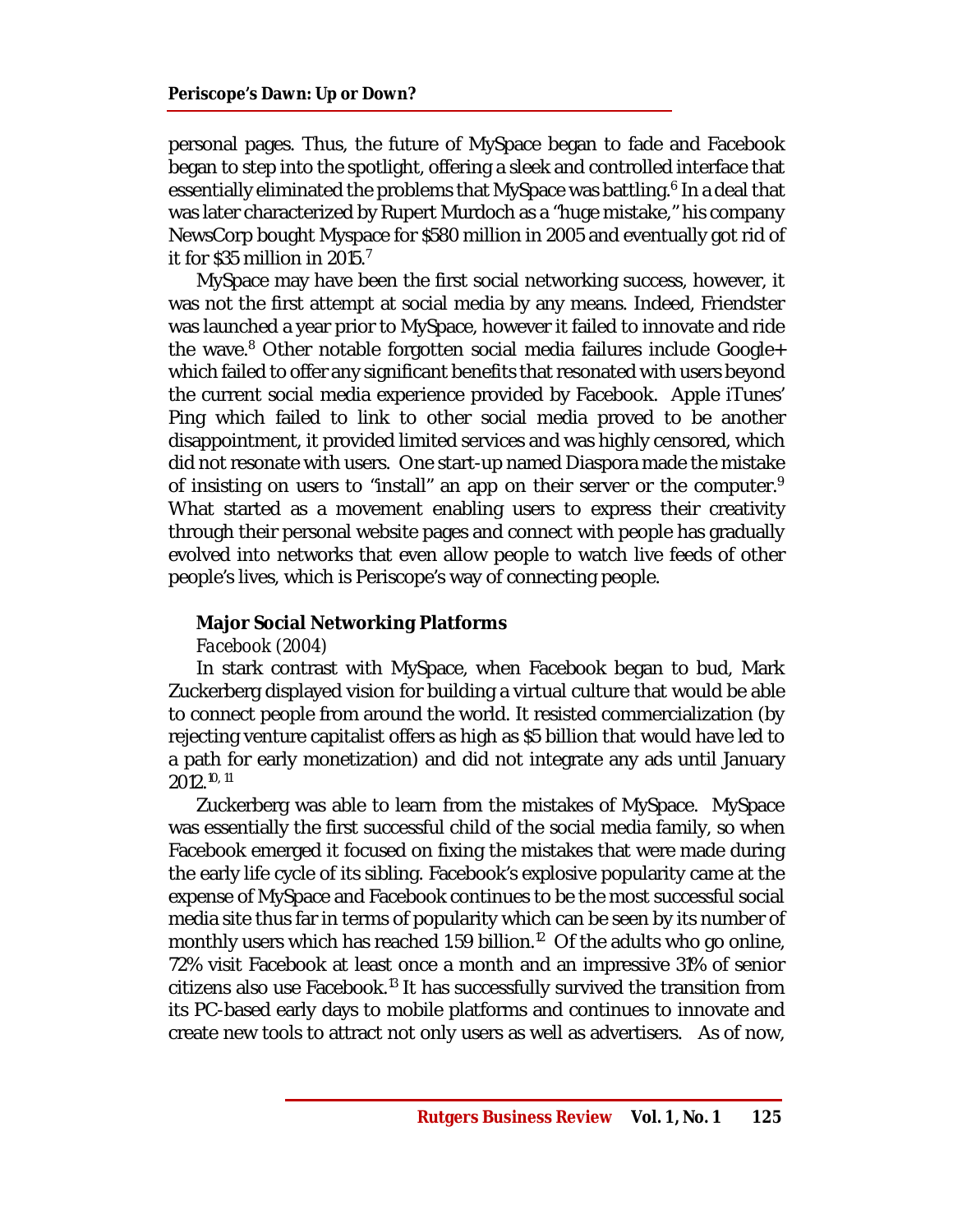personal pages. Thus, the future of MySpace began to fade and Facebook began to step into the spotlight, offering a sleek and controlled interface that essentially eliminated the problems that MySpace was battling.<sup>6</sup> In a deal that was later characterized by Rupert Murdoch as a "huge mistake," his company NewsCorp bought Myspace for \$580 million in 2005 and eventually got rid of it for \$35 million in 2015.<sup>7</sup>

MySpace may have been the first social networking success, however, it was not the first attempt at social media by any means. Indeed, Friendster was launched a year prior to MySpace, however it failed to innovate and ride the wave.<sup>8</sup> Other notable forgotten social media failures include Google+ which failed to offer any significant benefits that resonated with users beyond the current social media experience provided by Facebook. Apple iTunes' Ping which failed to link to other social media proved to be another disappointment, it provided limited services and was highly censored, which did not resonate with users. One start-up named Diaspora made the mistake of insisting on users to "install" an app on their server or the computer.<sup>9</sup> What started as a movement enabling users to express their creativity through their personal website pages and connect with people has gradually evolved into networks that even allow people to watch live feeds of other people's lives, which is Periscope's way of connecting people.

### **Major Social Networking Platforms**

### *Facebook (2004)*

In stark contrast with MySpace, when Facebook began to bud, Mark Zuckerberg displayed vision for building a virtual culture that would be able to connect people from around the world. It resisted commercialization (by rejecting venture capitalist offers as high as \$5 billion that would have led to a path for early monetization) and did not integrate any ads until January 2012.10, 11

Zuckerberg was able to learn from the mistakes of MySpace. MySpace was essentially the first successful child of the social media family, so when Facebook emerged it focused on fixing the mistakes that were made during the early life cycle of its sibling. Facebook's explosive popularity came at the expense of MySpace and Facebook continues to be the most successful social media site thus far in terms of popularity which can be seen by its number of monthly users which has reached 1.59 billion. $^{12}$  Of the adults who go online, 72% visit Facebook at least once a month and an impressive 31% of senior citizens also use Facebook.<sup>13</sup> It has successfully survived the transition from its PC-based early days to mobile platforms and continues to innovate and create new tools to attract not only users as well as advertisers. As of now,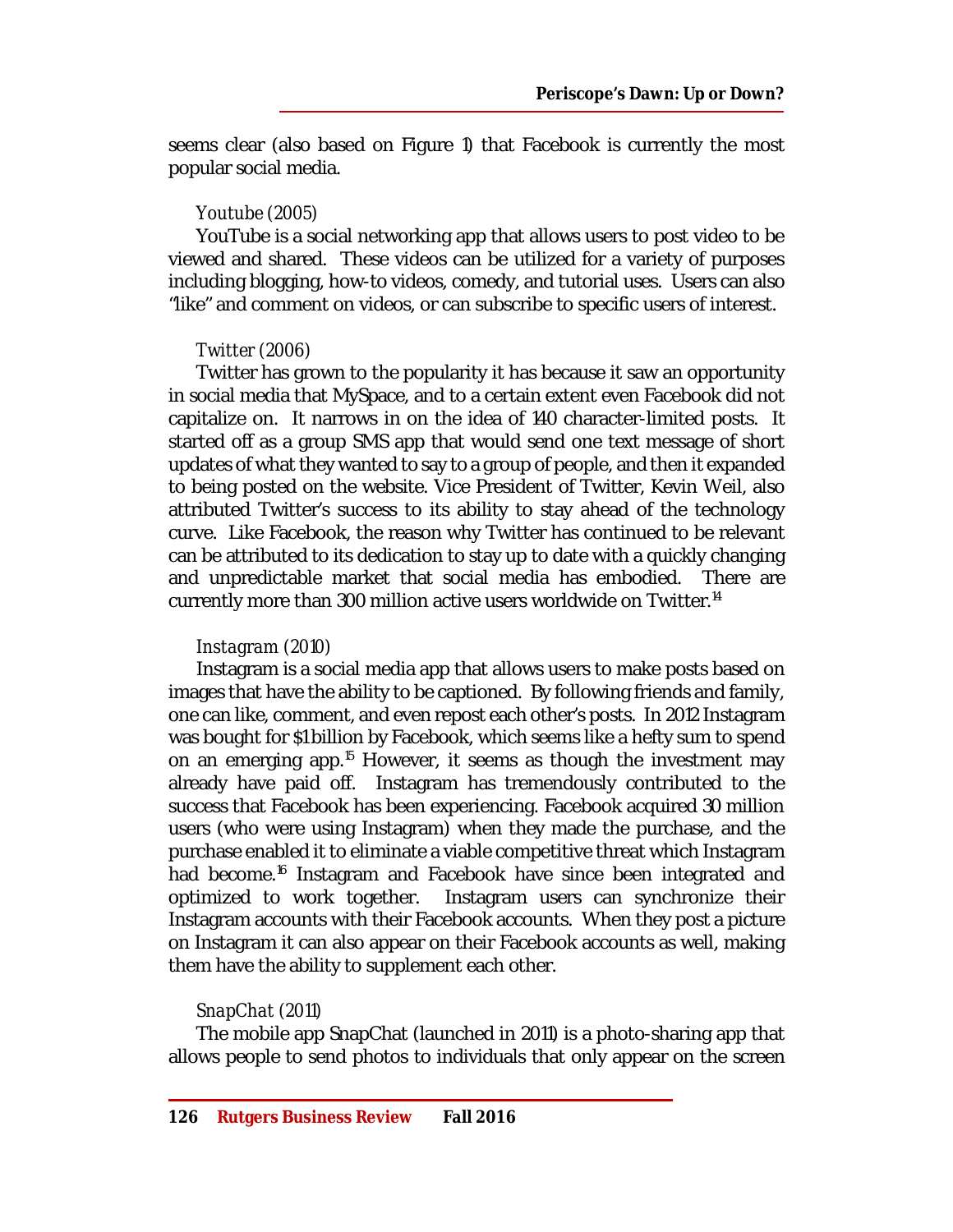seems clear (also based on Figure 1) that Facebook is currently the most popular social media.

# *Youtube (2005)*

YouTube is a social networking app that allows users to post video to be viewed and shared. These videos can be utilized for a variety of purposes including blogging, how-to videos, comedy, and tutorial uses. Users can also "like" and comment on videos, or can subscribe to specific users of interest.

# *Twitter (2006)*

Twitter has grown to the popularity it has because it saw an opportunity in social media that MySpace, and to a certain extent even Facebook did not capitalize on. It narrows in on the idea of 140 character-limited posts. It started off as a group SMS app that would send one text message of short updates of what they wanted to say to a group of people, and then it expanded to being posted on the website. Vice President of Twitter, Kevin Weil, also attributed Twitter's success to its ability to stay ahead of the technology curve. Like Facebook, the reason why Twitter has continued to be relevant can be attributed to its dedication to stay up to date with a quickly changing and unpredictable market that social media has embodied. There are currently more than 300 million active users worldwide on Twitter.<sup>14</sup>

### *Instagram (2010)*

Instagram is a social media app that allows users to make posts based on images that have the ability to be captioned. By following friends and family, one can like, comment, and even repost each other's posts. In 2012 Instagram was bought for \$1 billion by Facebook, which seems like a hefty sum to spend on an emerging app.<sup>15</sup> However, it seems as though the investment may already have paid off. Instagram has tremendously contributed to the success that Facebook has been experiencing. Facebook acquired 30 million users (who were using Instagram) when they made the purchase, and the purchase enabled it to eliminate a viable competitive threat which Instagram had become.<sup>16</sup> Instagram and Facebook have since been integrated and optimized to work together. Instagram users can synchronize their Instagram accounts with their Facebook accounts. When they post a picture on Instagram it can also appear on their Facebook accounts as well, making them have the ability to supplement each other.

# *SnapChat (2011)*

The mobile app SnapChat (launched in 2011) is a photo-sharing app that allows people to send photos to individuals that only appear on the screen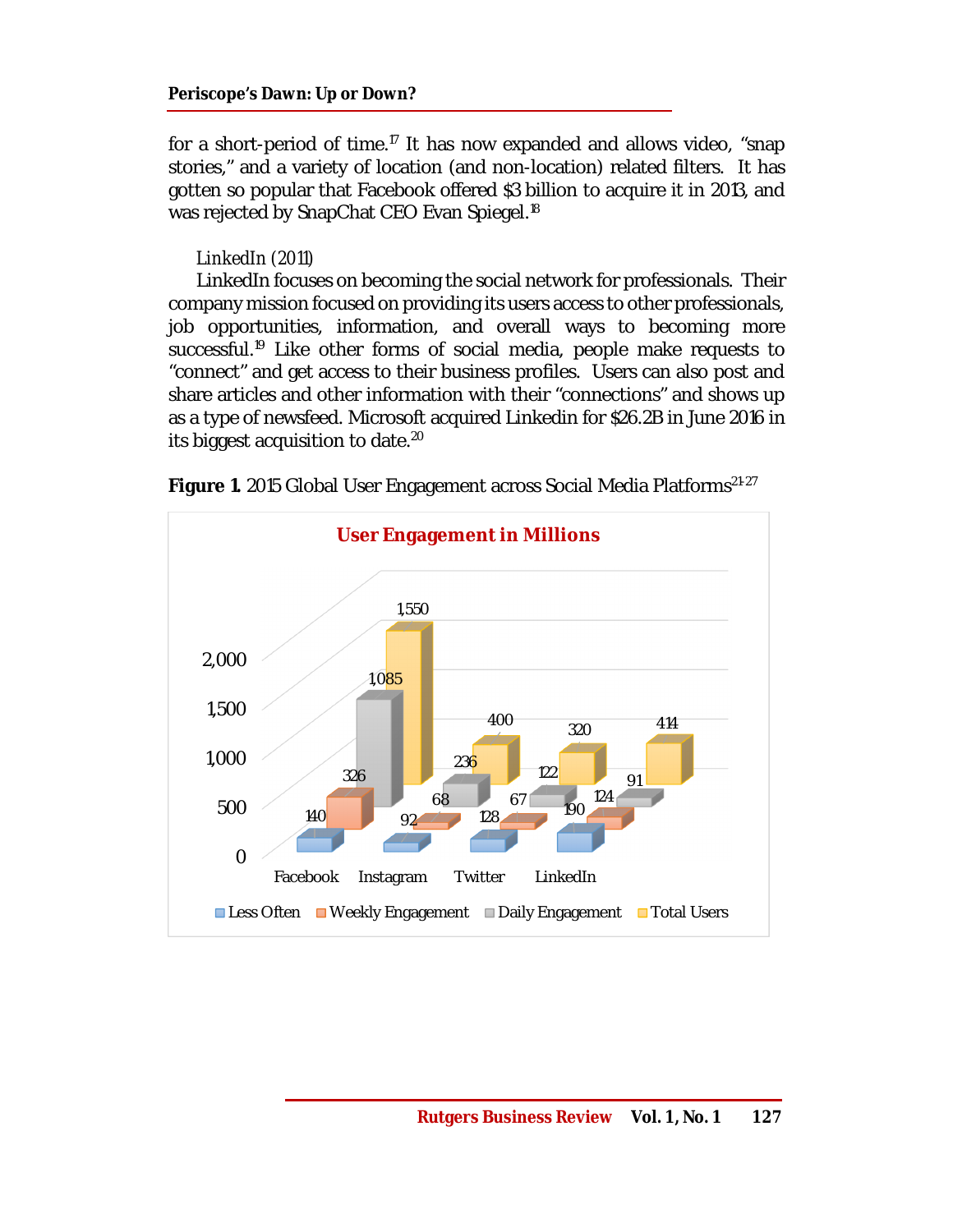for a short-period of time.<sup>17</sup> It has now expanded and allows video, "snap stories," and a variety of location (and non-location) related filters. It has gotten so popular that Facebook offered \$3 billion to acquire it in 2013, and was rejected by SnapChat CEO Evan Spiegel.<sup>18</sup>

# *LinkedIn (2011)*

LinkedIn focuses on becoming the social network for professionals. Their company mission focused on providing its users access to other professionals, job opportunities, information, and overall ways to becoming more successful.<sup>19</sup> Like other forms of social media, people make requests to "connect" and get access to their business profiles. Users can also post and share articles and other information with their "connections" and shows up as a type of newsfeed. Microsoft acquired Linkedin for \$26.2B in June 2016 in its biggest acquisition to date.<sup>20</sup>



**Figure 1.** 2015 Global User Engagement across Social Media Platforms<sup>21-27</sup>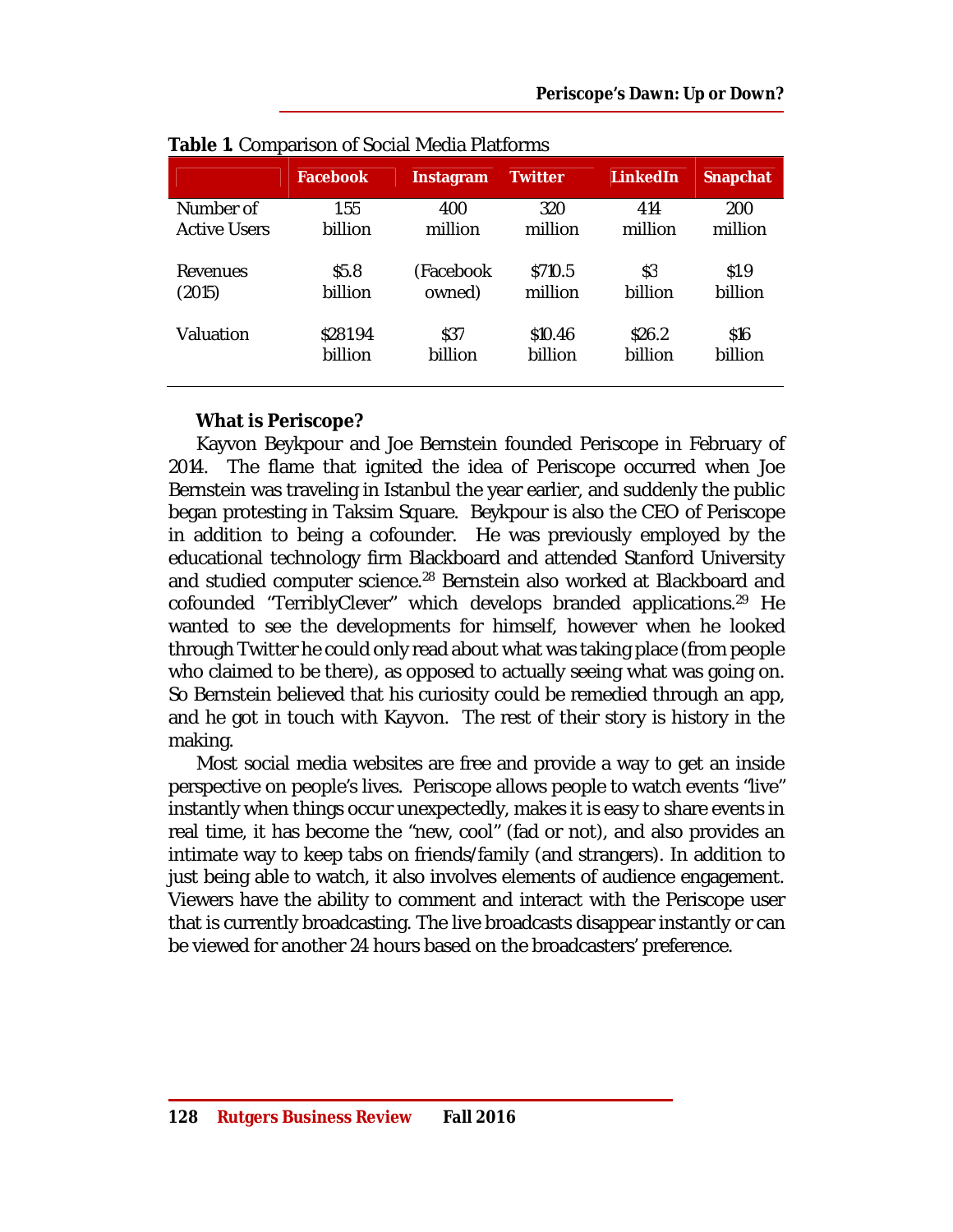|                     | <b>Facebook</b> | Instagram | <b>Twitter</b> | <b>LinkedIn</b> | <b>Snapchat</b> |
|---------------------|-----------------|-----------|----------------|-----------------|-----------------|
| Number of           | 1.55            | 400       | 320            | 414             | 200             |
| <b>Active Users</b> | billion         | million   | million        | million         | million         |
| Revenues            | \$5.8           | (Facebook | \$710.5        | \$3             | \$1.9           |
| (2015)              | billion         | owned)    | million        | billion         | billion         |
| Valuation           | \$281.94        | \$37      | \$10.46        | \$26.2          | \$16            |
|                     | billion         | billion   | billion        | billion         | billion         |

# **What is Periscope?**

Kayvon Beykpour and Joe Bernstein founded Periscope in February of 2014. The flame that ignited the idea of Periscope occurred when Joe Bernstein was traveling in Istanbul the year earlier, and suddenly the public began protesting in Taksim Square. Beykpour is also the CEO of Periscope in addition to being a cofounder. He was previously employed by the educational technology firm Blackboard and attended Stanford University and studied computer science.<sup>28</sup> Bernstein also worked at Blackboard and cofounded "TerriblyClever" which develops branded applications.<sup>29</sup> He wanted to see the developments for himself, however when he looked through Twitter he could only read about what was taking place (from people who claimed to be there), as opposed to actually seeing what was going on. So Bernstein believed that his curiosity could be remedied through an app, and he got in touch with Kayvon. The rest of their story is history in the making.

Most social media websites are free and provide a way to get an inside perspective on people's lives. Periscope allows people to watch events "live" instantly when things occur unexpectedly, makes it is easy to share events in real time, it has become the "new, cool" (fad or not), and also provides an intimate way to keep tabs on friends/family (and strangers). In addition to just being able to watch, it also involves elements of audience engagement. Viewers have the ability to comment and interact with the Periscope user that is currently broadcasting. The live broadcasts disappear instantly or can be viewed for another 24 hours based on the broadcasters' preference.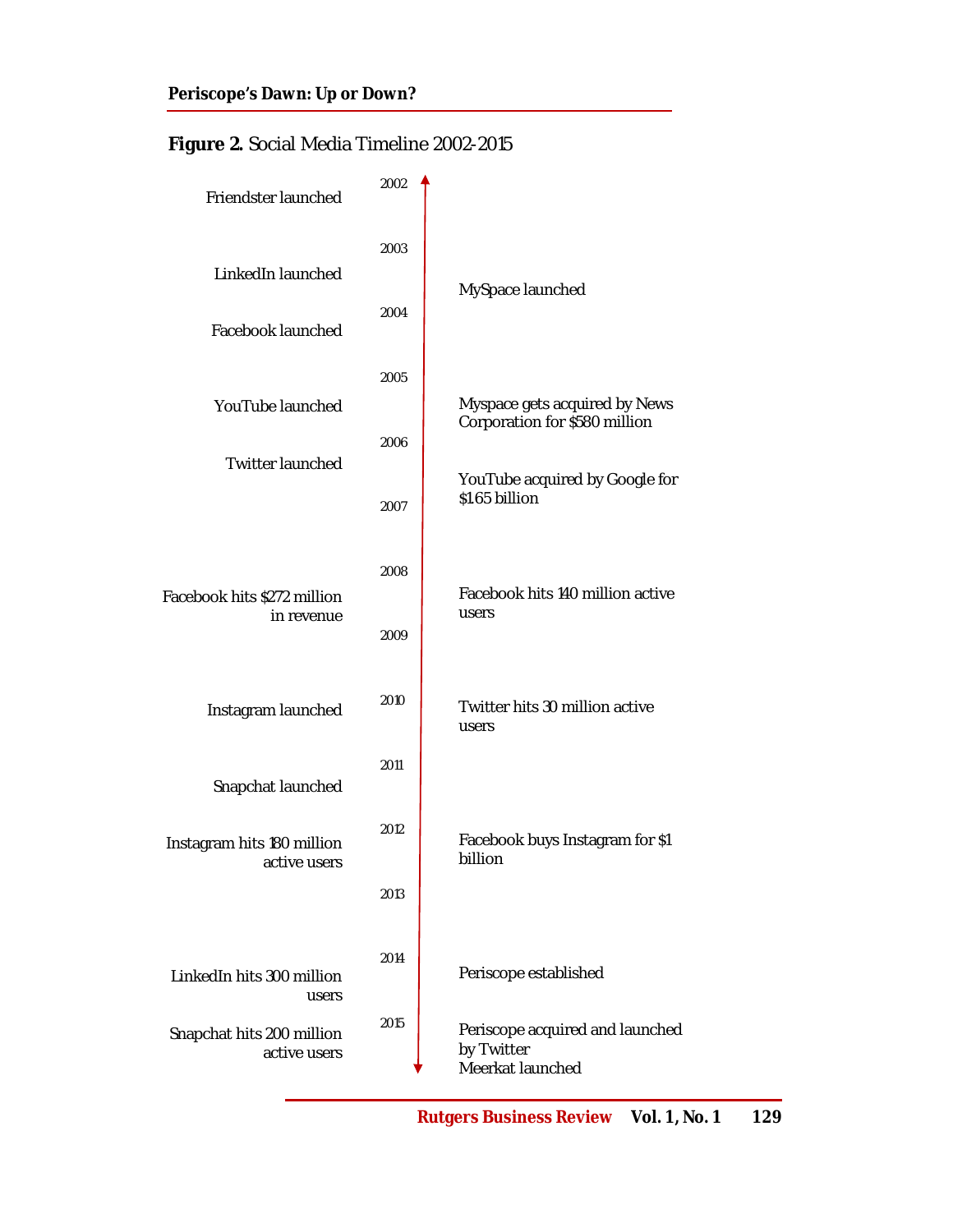# **Figure 2.** Social Media Timeline 2002-2015

| Friendster launched                        | 2002 |                                                                   |  |  |
|--------------------------------------------|------|-------------------------------------------------------------------|--|--|
| LinkedIn launched                          | 2003 | MySpace launched                                                  |  |  |
| Facebook launched                          | 2004 |                                                                   |  |  |
| YouTube launched                           | 2005 | Myspace gets acquired by News<br>Corporation for \$580 million    |  |  |
| Twitter launched                           | 2006 |                                                                   |  |  |
|                                            | 2007 | YouTube acquired by Google for<br>\$1.65 billion                  |  |  |
| Facebook hits \$272 million                | 2008 | Facebook hits 140 million active                                  |  |  |
| in revenue                                 | 2009 | users                                                             |  |  |
| Instagram launched                         | 2010 | Twitter hits 30 million active<br>users                           |  |  |
| Snapchat launched                          | 2011 |                                                                   |  |  |
| Instagram hits 180 million<br>active users | 2012 | Facebook buys Instagram for \$1<br>billion                        |  |  |
|                                            | 2013 |                                                                   |  |  |
| Linked In hits 300 million<br>users        | 2014 | Periscope established                                             |  |  |
| Snapchat hits 200 million<br>active users  | 2015 | Periscope acquired and launched<br>by Twitter<br>Meerkat launched |  |  |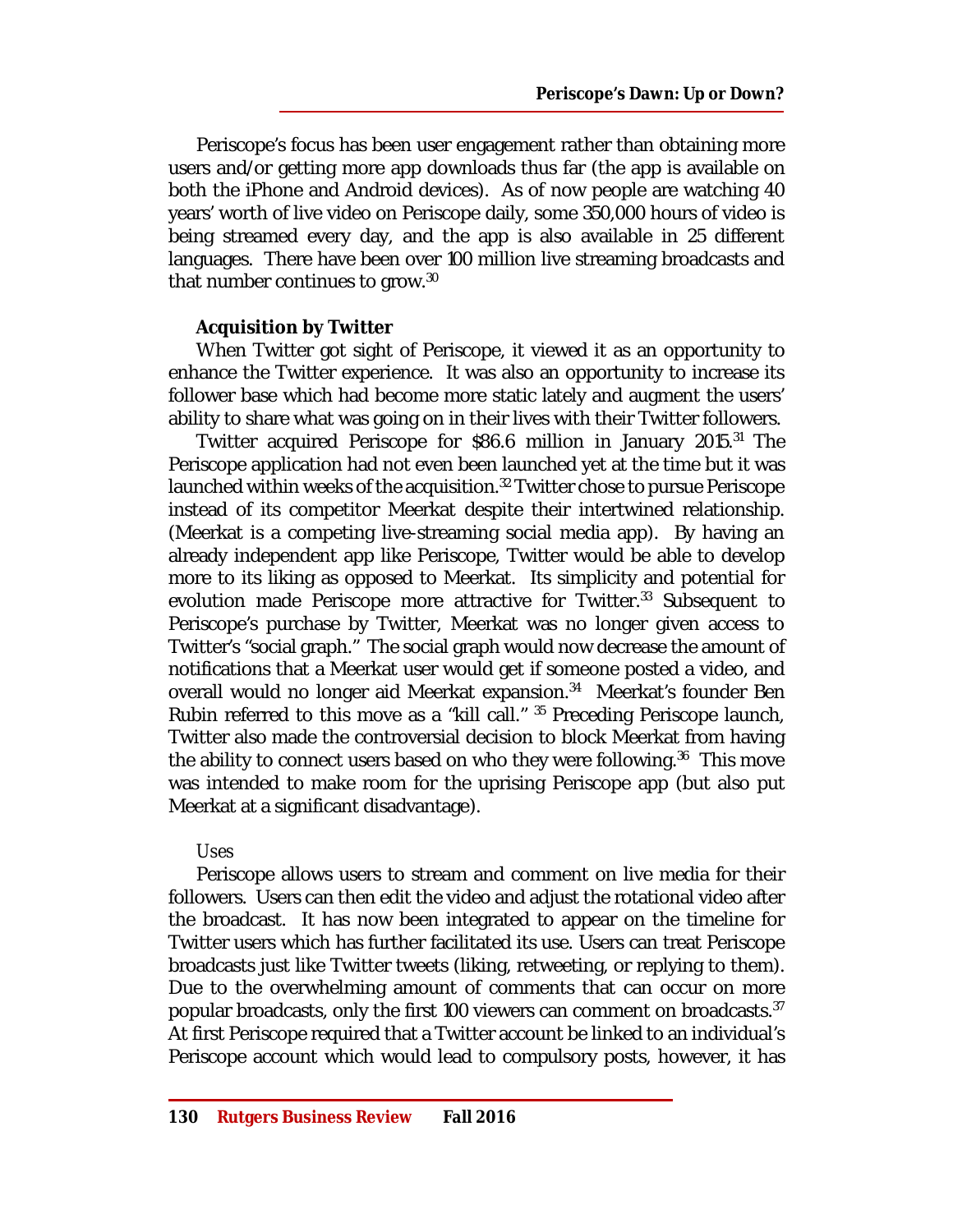Periscope's focus has been user engagement rather than obtaining more users and/or getting more app downloads thus far (the app is available on both the iPhone and Android devices). As of now people are watching 40 years' worth of live video on Periscope daily, some 350,000 hours of video is being streamed every day, and the app is also available in 25 different languages. There have been over 100 million live streaming broadcasts and that number continues to grow.<sup>30</sup>

# **Acquisition by Twitter**

When Twitter got sight of Periscope, it viewed it as an opportunity to enhance the Twitter experience. It was also an opportunity to increase its follower base which had become more static lately and augment the users' ability to share what was going on in their lives with their Twitter followers.

Twitter acquired Periscope for \$86.6 million in January 2015.<sup>31</sup> The Periscope application had not even been launched yet at the time but it was launched within weeks of the acquisition.<sup>32</sup> Twitter chose to pursue Periscope instead of its competitor Meerkat despite their intertwined relationship. (Meerkat is a competing live-streaming social media app). By having an already independent app like Periscope, Twitter would be able to develop more to its liking as opposed to Meerkat. Its simplicity and potential for evolution made Periscope more attractive for Twitter.<sup>33</sup> Subsequent to Periscope's purchase by Twitter, Meerkat was no longer given access to Twitter's "social graph." The social graph would now decrease the amount of notifications that a Meerkat user would get if someone posted a video, and overall would no longer aid Meerkat expansion.<sup>34</sup> Meerkat's founder Ben Rubin referred to this move as a "kill call." <sup>35</sup> Preceding Periscope launch, Twitter also made the controversial decision to block Meerkat from having the ability to connect users based on who they were following.<sup>36</sup> This move was intended to make room for the uprising Periscope app (but also put Meerkat at a significant disadvantage).

### *Uses*

Periscope allows users to stream and comment on live media for their followers. Users can then edit the video and adjust the rotational video after the broadcast. It has now been integrated to appear on the timeline for Twitter users which has further facilitated its use. Users can treat Periscope broadcasts just like Twitter tweets (liking, retweeting, or replying to them). Due to the overwhelming amount of comments that can occur on more popular broadcasts, only the first 100 viewers can comment on broadcasts.<sup>37</sup> At first Periscope required that a Twitter account be linked to an individual's Periscope account which would lead to compulsory posts, however, it has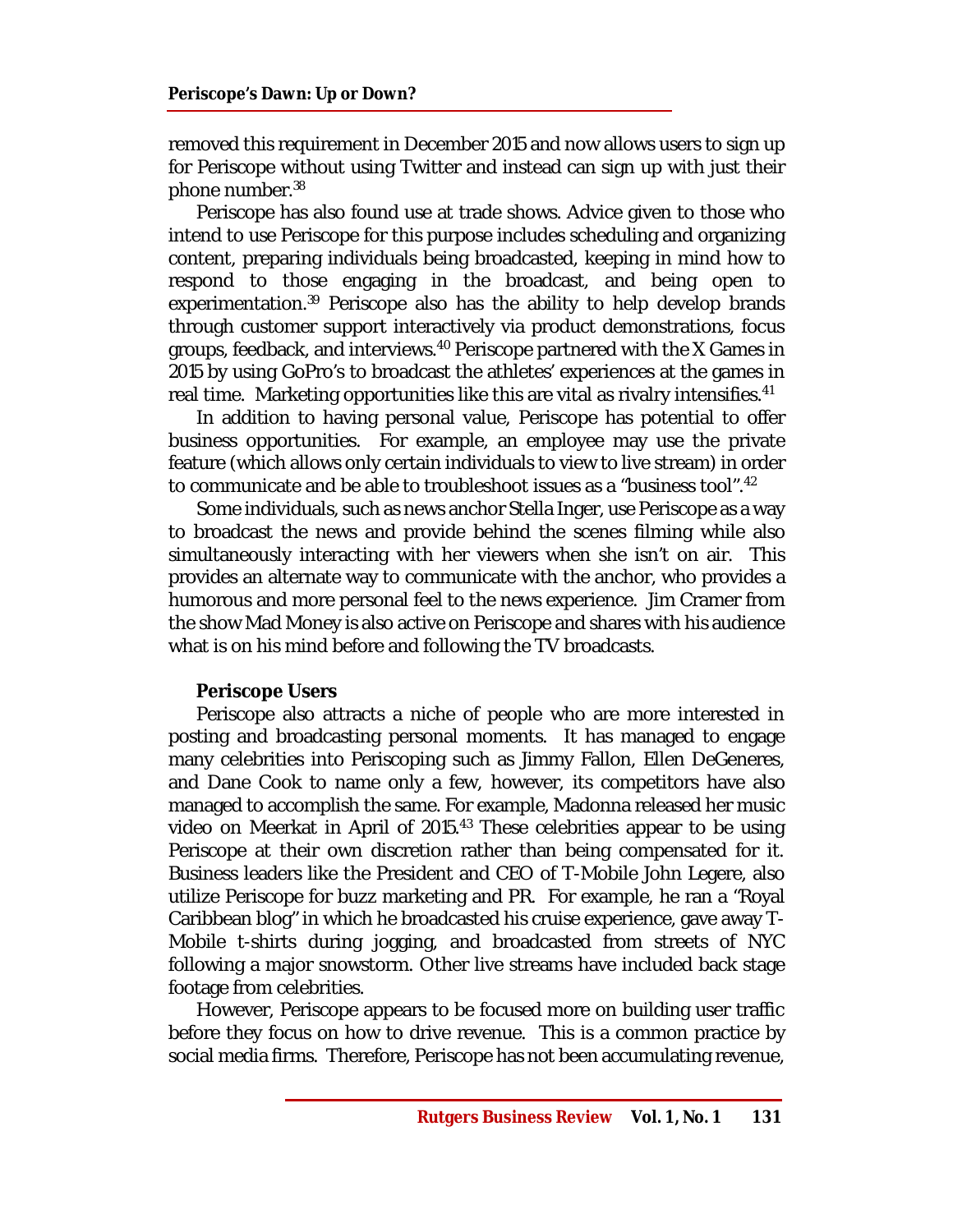removed this requirement in December 2015 and now allows users to sign up for Periscope without using Twitter and instead can sign up with just their phone number.<sup>38</sup>

Periscope has also found use at trade shows. Advice given to those who intend to use Periscope for this purpose includes scheduling and organizing content, preparing individuals being broadcasted, keeping in mind how to respond to those engaging in the broadcast, and being open to experimentation.<sup>39</sup> Periscope also has the ability to help develop brands through customer support interactively via product demonstrations, focus groups, feedback, and interviews.<sup>40</sup> Periscope partnered with the X Games in 2015 by using GoPro's to broadcast the athletes' experiences at the games in real time. Marketing opportunities like this are vital as rivalry intensifies.<sup>41</sup>

In addition to having personal value, Periscope has potential to offer business opportunities. For example, an employee may use the private feature (which allows only certain individuals to view to live stream) in order to communicate and be able to troubleshoot issues as a "business tool".<sup>42</sup>

Some individuals, such as news anchor Stella Inger, use Periscope as a way to broadcast the news and provide behind the scenes filming while also simultaneously interacting with her viewers when she isn't on air. This provides an alternate way to communicate with the anchor, who provides a humorous and more personal feel to the news experience. Jim Cramer from the show Mad Money is also active on Periscope and shares with his audience what is on his mind before and following the TV broadcasts.

### **Periscope Users**

Periscope also attracts a niche of people who are more interested in posting and broadcasting personal moments. It has managed to engage many celebrities into Periscoping such as Jimmy Fallon, Ellen DeGeneres, and Dane Cook to name only a few, however, its competitors have also managed to accomplish the same. For example, Madonna released her music video on Meerkat in April of 2015.<sup>43</sup> These celebrities appear to be using Periscope at their own discretion rather than being compensated for it. Business leaders like the President and CEO of T-Mobile John Legere, also utilize Periscope for buzz marketing and PR. For example, he ran a "Royal Caribbean blog" in which he broadcasted his cruise experience, gave away T-Mobile t-shirts during jogging, and broadcasted from streets of NYC following a major snowstorm. Other live streams have included back stage footage from celebrities.

However, Periscope appears to be focused more on building user traffic before they focus on how to drive revenue. This is a common practice by social media firms. Therefore, Periscope has not been accumulating revenue,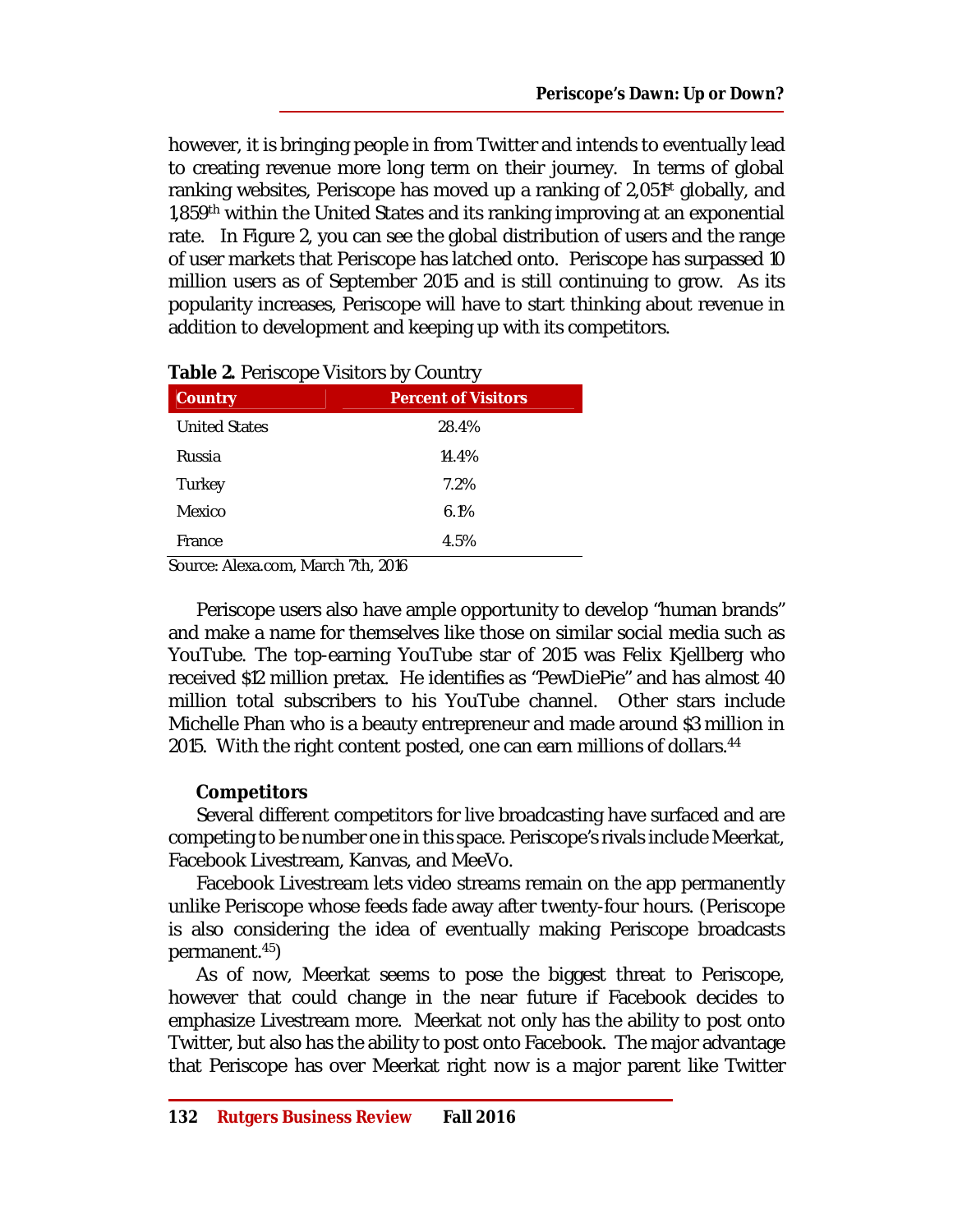however, it is bringing people in from Twitter and intends to eventually lead to creating revenue more long term on their journey. In terms of global ranking websites, Periscope has moved up a ranking of 2,051<sup>st</sup> globally, and 1,859<sup>th</sup> within the United States and its ranking improving at an exponential rate. In Figure 2, you can see the global distribution of users and the range of user markets that Periscope has latched onto. Periscope has surpassed 10 million users as of September 2015 and is still continuing to grow. As its popularity increases, Periscope will have to start thinking about revenue in addition to development and keeping up with its competitors.

| <b>Country</b>       | <b>Percent of Visitors</b> |
|----------------------|----------------------------|
| <b>United States</b> | 28.4%                      |
| Russia               | 14.4%                      |
| Turkey               | 7.2%                       |
| Mexico               | 6.1%                       |
| France               | 4.5%                       |

**Table 2.** Periscope Visitors by Country

Source: Alexa.com, March 7th, 2016

Periscope users also have ample opportunity to develop "human brands" and make a name for themselves like those on similar social media such as YouTube. The top-earning YouTube star of 2015 was Felix Kjellberg who received \$12 million pretax. He identifies as "PewDiePie" and has almost 40 million total subscribers to his YouTube channel. Other stars include Michelle Phan who is a beauty entrepreneur and made around \$3 million in 2015. With the right content posted, one can earn millions of dollars.<sup>44</sup>

# **Competitors**

Several different competitors for live broadcasting have surfaced and are competing to be number one in this space. Periscope's rivals include Meerkat, Facebook Livestream, Kanvas, and MeeVo.

Facebook Livestream lets video streams remain on the app permanently unlike Periscope whose feeds fade away after twenty-four hours. (Periscope is also considering the idea of eventually making Periscope broadcasts permanent.<sup>45</sup>)

As of now, Meerkat seems to pose the biggest threat to Periscope, however that could change in the near future if Facebook decides to emphasize Livestream more. Meerkat not only has the ability to post onto Twitter, but also has the ability to post onto Facebook. The major advantage that Periscope has over Meerkat right now is a major parent like Twitter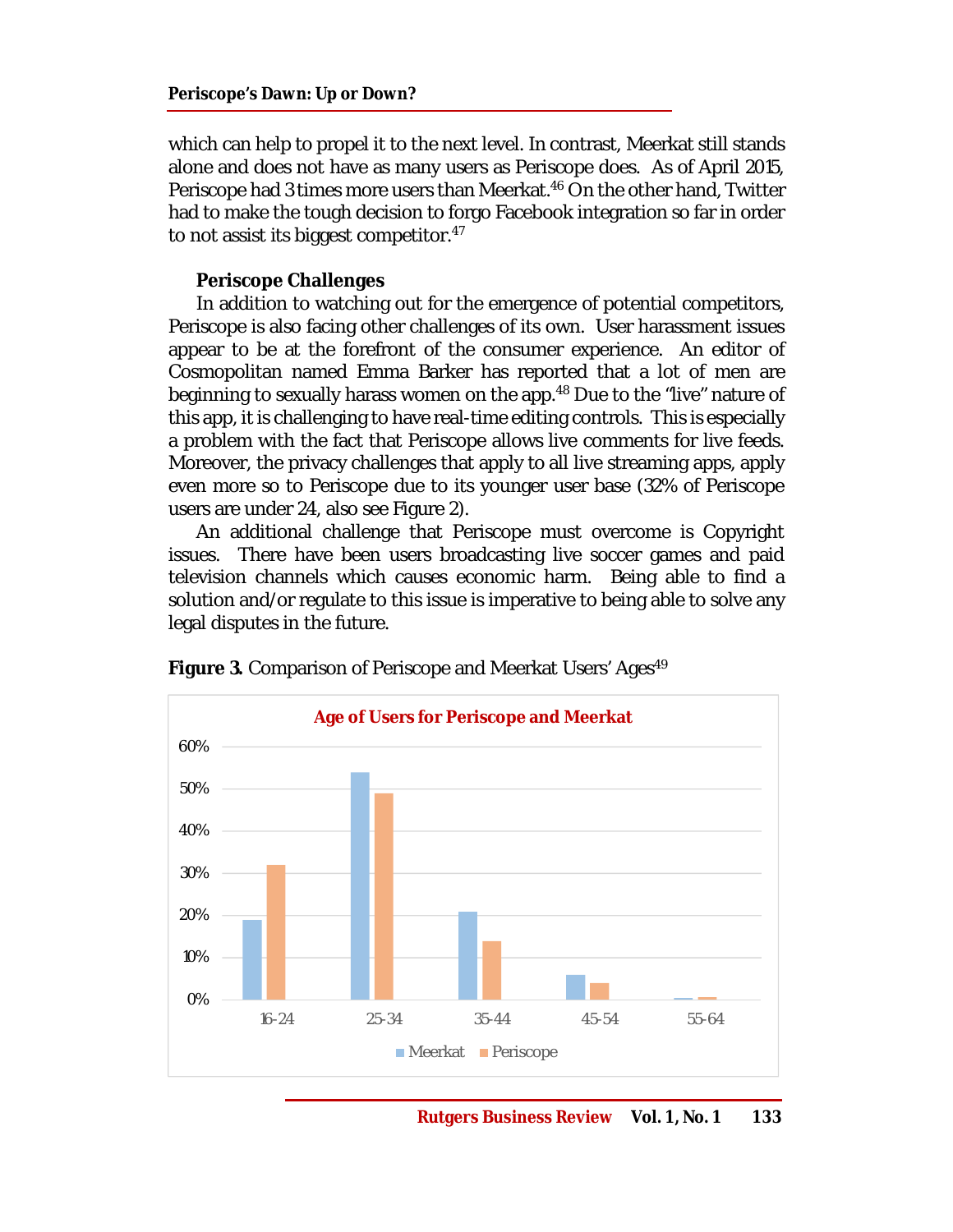which can help to propel it to the next level. In contrast, Meerkat still stands alone and does not have as many users as Periscope does. As of April 2015, Periscope had 3 times more users than Meerkat.<sup>46</sup> On the other hand, Twitter had to make the tough decision to forgo Facebook integration so far in order to not assist its biggest competitor.<sup>47</sup>

### **Periscope Challenges**

In addition to watching out for the emergence of potential competitors, Periscope is also facing other challenges of its own. User harassment issues appear to be at the forefront of the consumer experience. An editor of Cosmopolitan named Emma Barker has reported that a lot of men are beginning to sexually harass women on the app.<sup>48</sup> Due to the "live" nature of this app, it is challenging to have real-time editing controls. This is especially a problem with the fact that Periscope allows live comments for live feeds. Moreover, the privacy challenges that apply to all live streaming apps, apply even more so to Periscope due to its younger user base (32% of Periscope users are under 24, also see Figure 2).

An additional challenge that Periscope must overcome is Copyright issues. There have been users broadcasting live soccer games and paid television channels which causes economic harm. Being able to find a solution and/or regulate to this issue is imperative to being able to solve any legal disputes in the future.



**Figure 3.** Comparison of Periscope and Meerkat Users' Ages<sup>49</sup>

**Rutgers Business Review Vol. 1, No. 1 133**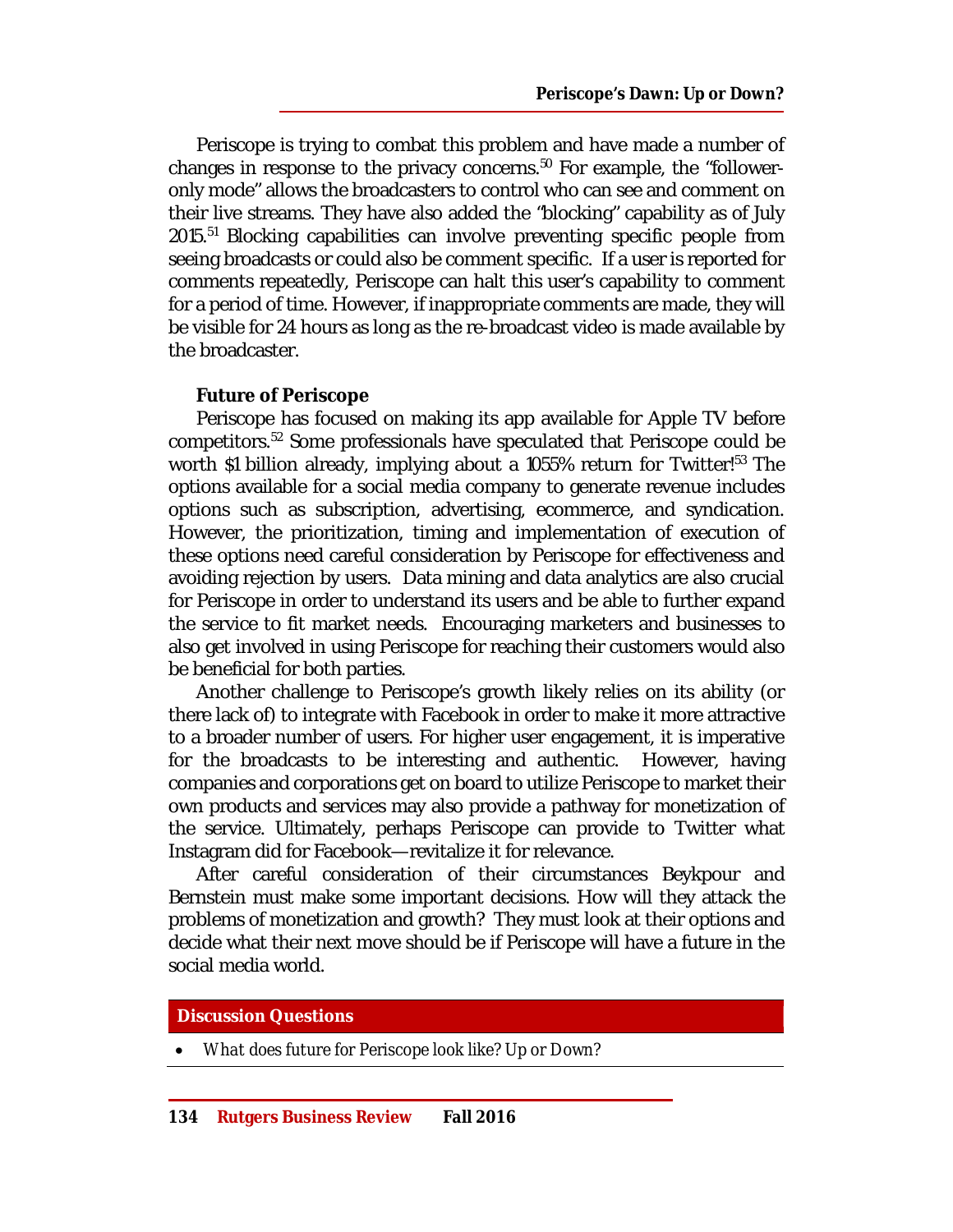Periscope is trying to combat this problem and have made a number of changes in response to the privacy concerns.<sup>50</sup> For example, the "followeronly mode" allows the broadcasters to control who can see and comment on their live streams. They have also added the "blocking" capability as of July 2015.<sup>51</sup> Blocking capabilities can involve preventing specific people from seeing broadcasts or could also be comment specific. If a user is reported for comments repeatedly, Periscope can halt this user's capability to comment for a period of time. However, if inappropriate comments are made, they will be visible for 24 hours as long as the re-broadcast video is made available by the broadcaster.

### **Future of Periscope**

Periscope has focused on making its app available for Apple TV before competitors.<sup>52</sup> Some professionals have speculated that Periscope could be worth \$1 billion already, implying about a 1055% return for Twitter!<sup>53</sup> The options available for a social media company to generate revenue includes options such as subscription, advertising, ecommerce, and syndication. However, the prioritization, timing and implementation of execution of these options need careful consideration by Periscope for effectiveness and avoiding rejection by users. Data mining and data analytics are also crucial for Periscope in order to understand its users and be able to further expand the service to fit market needs. Encouraging marketers and businesses to also get involved in using Periscope for reaching their customers would also be beneficial for both parties.

Another challenge to Periscope's growth likely relies on its ability (or there lack of) to integrate with Facebook in order to make it more attractive to a broader number of users. For higher user engagement, it is imperative for the broadcasts to be interesting and authentic. However, having companies and corporations get on board to utilize Periscope to market their own products and services may also provide a pathway for monetization of the service. Ultimately, perhaps Periscope can provide to Twitter what Instagram did for Facebook—revitalize it for relevance.

After careful consideration of their circumstances Beykpour and Bernstein must make some important decisions. How will they attack the problems of monetization and growth? They must look at their options and decide what their next move should be if Periscope will have a future in the social media world.

#### **Discussion Questions**

*What does future for Periscope look like? Up or Down?*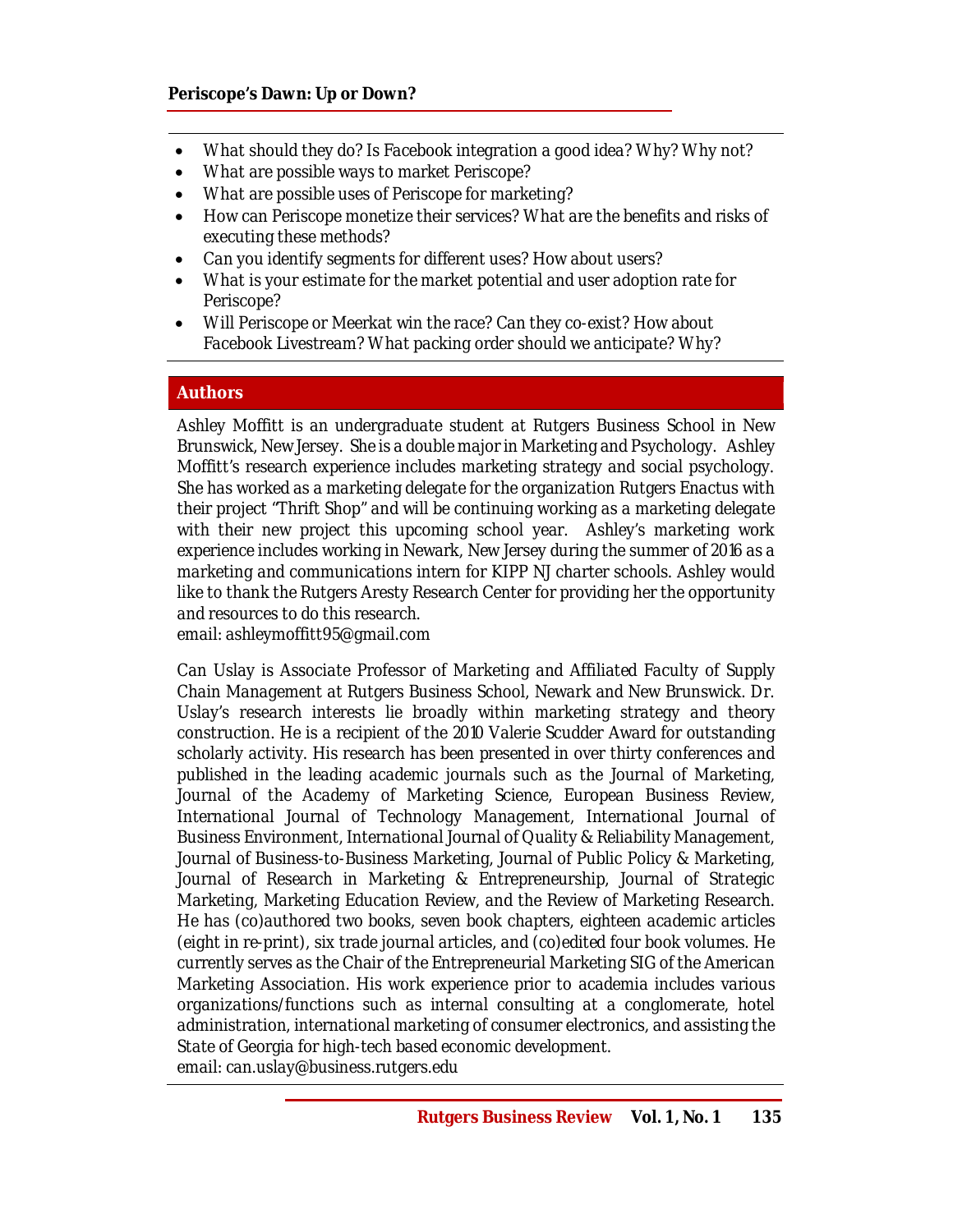- *What should they do? Is Facebook integration a good idea? Why? Why not?*
- *What are possible ways to market Periscope?*
- *What are possible uses of Periscope for marketing?*
- *How can Periscope monetize their services? What are the benefits and risks of executing these methods?*
- *Can you identify segments for different uses? How about users?*
- *What is your estimate for the market potential and user adoption rate for Periscope?*
- *Will Periscope or Meerkat win the race? Can they co-exist? How about Facebook Livestream? What packing order should we anticipate? Why?*

### **Authors**

*Ashley Moffitt is an undergraduate student at Rutgers Business School in New Brunswick, New Jersey. She is a double major in Marketing and Psychology. Ashley Moffitt's research experience includes marketing strategy and social psychology. She has worked as a marketing delegate for the organization Rutgers Enactus with their project "Thrift Shop" and will be continuing working as a marketing delegate with their new project this upcoming school year. Ashley's marketing work experience includes working in Newark, New Jersey during the summer of 2016 as a marketing and communications intern for KIPP NJ charter schools. Ashley would like to thank the Rutgers Aresty Research Center for providing her the opportunity and resources to do this research. email: [ashleymoffitt95@gmail.com](mailto:ashleymoffitt95@gmail.com)*

*Can Uslay is Associate Professor of Marketing and Affiliated Faculty of Supply Chain Management at Rutgers Business School, Newark and New Brunswick. Dr. Uslay's research interests lie broadly within marketing strategy and theory construction. He is a recipient of the 2010 Valerie Scudder Award for outstanding scholarly activity. His research has been presented in over thirty conferences and published in the leading academic journals such as the Journal of Marketing, Journal of the Academy of Marketing Science, European Business Review, International Journal of Technology Management, International Journal of Business Environment, International Journal of Quality & Reliability Management, Journal of Business-to-Business Marketing, Journal of Public Policy & Marketing, Journal of Research in Marketing & Entrepreneurship, Journal of Strategic Marketing, Marketing Education Review, and the Review of Marketing Research. He has (co)authored two books, seven book chapters, eighteen academic articles (eight in re-print), six trade journal articles, and (co)edited four book volumes. He currently serves as the Chair of the Entrepreneurial Marketing SIG of the American Marketing Association. His work experience prior to academia includes various organizations/functions such as internal consulting at a conglomerate, hotel administration, international marketing of consumer electronics, and assisting the State of Georgia for high-tech based economic development. email: [can.uslay@business.rutgers.edu](mailto:can.uslay@business.rutgers.edu)*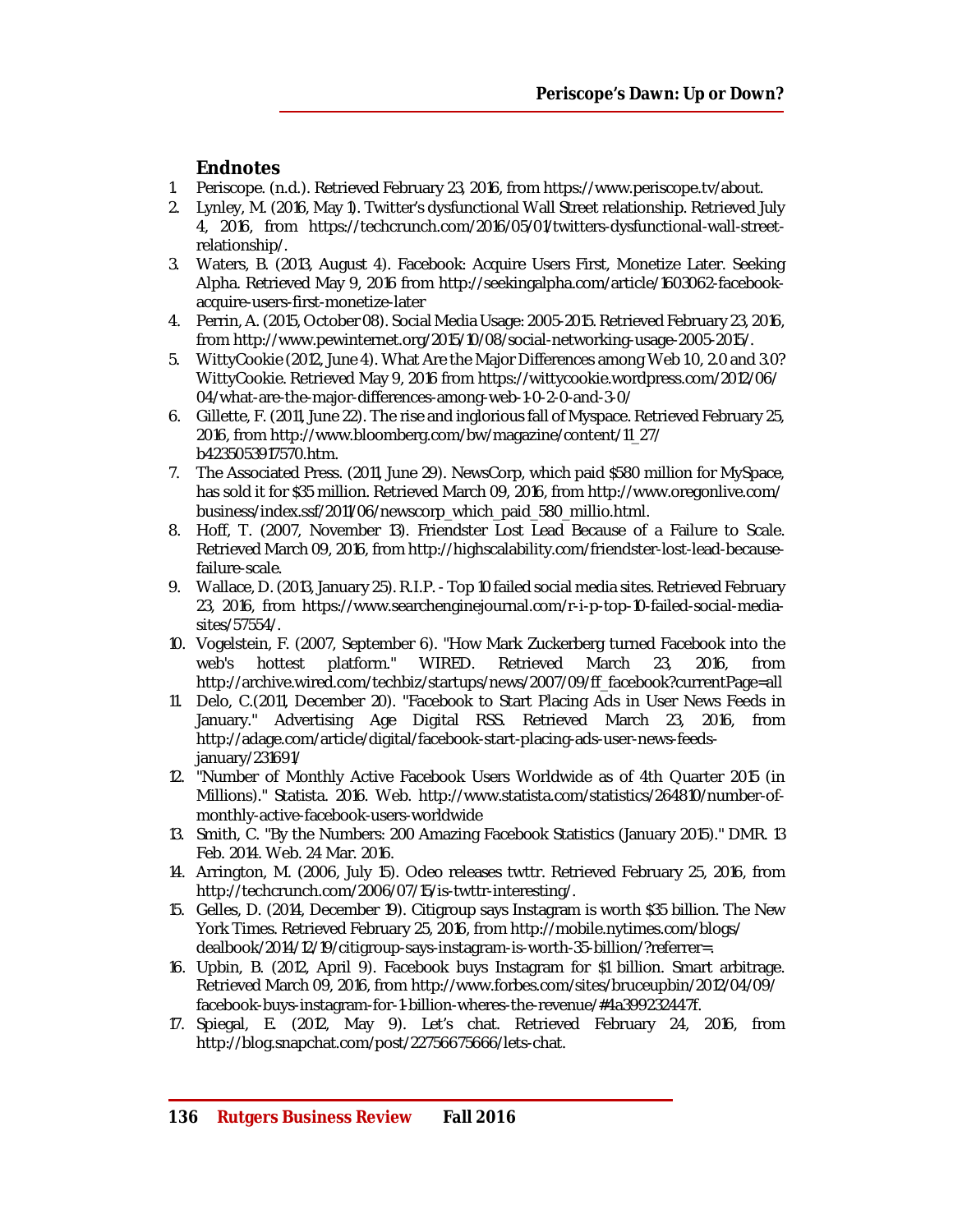# **Endnotes**

- 1. Periscope. (n.d.). Retrieved February 23, 2016, from <https://www.periscope.tv/about.>
- 2. Lynley, M. (2016, May 1). Twitter's dysfunctional Wall Street relationship. Retrieved July 4, 2016, from [https://techcrunch.com/2016/05/01/twitters-dysfunctional-wall-street](https://techcrunch.com/2016/05/01/twitters-dysfunctional-wall-street-)relationship/.
- 3. Waters, B. (2013, August 4). Facebook: Acquire Users First, Monetize Later. Seeking Alpha. Retrieved May 9, 2016 from [http://seekingalpha.com/article/1603062-facebook](http://seekingalpha.com/article/1603062-facebook-)acquire-users-first-monetize-later
- 4. Perrin, A. (2015, October 08). Social Media Usage: 2005-2015. Retrieved February 23, 2016, from <http://www.pewinternet.org/2015/10/08/social-networking-usage-2005-2015/.>
- 5. WittyCookie (2012, June 4). What Are the Major Differences among Web 1.0, 2.0 and 3.0? WittyCookie. Retrieved May 9, 2016 from <https://wittycookie.wordpress.com/2012/06/> 04/what-are-the-major-differences-among-web-1-0-2-0-and-3-0/
- 6. Gillette, F. (2011, June 22). The rise and inglorious fall of Myspace. Retrieved February 25, 2016, from [http://www.bloomberg.com/bw/magazine/content/11\\_27/](http://www.bloomberg.com/bw/magazine/content/11_27/) b4235053917570.htm.
- 7. The Associated Press. (2011, June 29). NewsCorp, which paid \$580 million for MySpace, has sold it for \$35 million. Retrieved March 09, 2016, from <http://www.oregonlive.com/> business/index.ssf/2011/06/newscorp\_which\_paid\_580\_millio.html.
- 8. Hoff, T. (2007, November 13). Friendster Lost Lead Because of a Failure to Scale. Retrieved March 09, 2016, from [http://highscalability.com/friendster-lost-lead-because](http://highscalability.com/friendster-lost-lead-because-)failure-scale.
- 9. Wallace, D. (2013, January 25). R.I.P. Top 10 failed social media sites. Retrieved February 23, 2016, from [https://www.searchenginejournal.com/r-i-p-top-10-failed-social-media](https://www.searchenginejournal.com/r-i-p-top-10-failed-social-media-)sites/57554/.
- 10. Vogelstein, F. (2007, September 6). "How Mark Zuckerberg turned Facebook into the web's hottest platform." WIRED. Retrieved March 23, 2016, from [http://archive.wired.com/techbiz/startups/news/2007/09/ff\\_facebook?currentPage=all](http://archive.wired.com/techbiz/startups/news/2007/09/ff_facebook?currentPage=all)
- 11. Delo, C.(2011, December 20). "Facebook to Start Placing Ads in User News Feeds in January." Advertising Age Digital RSS. Retrieved March 23, 2016, from [http://adage.com/article/digital/facebook-start-placing-ads-user-news-feeds](http://adage.com/article/digital/facebook-start-placing-ads-user-news-feeds-)january/231691/
- 12. "Number of Monthly Active Facebook Users Worldwide as of 4th Quarter 2015 (in Millions)." Statista. 2016. Web. [http://www.statista.com/statistics/264810/number-of](http://www.statista.com/statistics/264810/number-of-)monthly-active-facebook-users-worldwide
- 13. Smith, C. "By the Numbers: 200 Amazing Facebook Statistics (January 2015)." DMR. 13 Feb. 2014. Web. 24 Mar. 2016.
- 14. Arrington, M. (2006, July 15). Odeo releases twttr. Retrieved February 25, 2016, from <http://techcrunch.com/2006/07/15/is-twttr-interesting/.>
- 15. Gelles, D. (2014, December 19). Citigroup says Instagram is worth \$35 billion. The New York Times. Retrieved February 25, 2016, from <http://mobile.nytimes.com/blogs/> dealbook/2014/12/19/citigroup-says-instagram-is-worth-35-billion/?referrer=.
- 16. Upbin, B. (2012, April 9). Facebook buys Instagram for \$1 billion. Smart arbitrage. Retrieved March 09, 2016, from <http://www.forbes.com/sites/bruceupbin/2012/04/09/> facebook-buys-instagram-for-1-billion-wheres-the-revenue/#4a399232447f.
- 17. Spiegal, E. (2012, May 9). Let's chat. Retrieved February 24, 2016, from <http://blog.snapchat.com/post/22756675666/lets-chat.>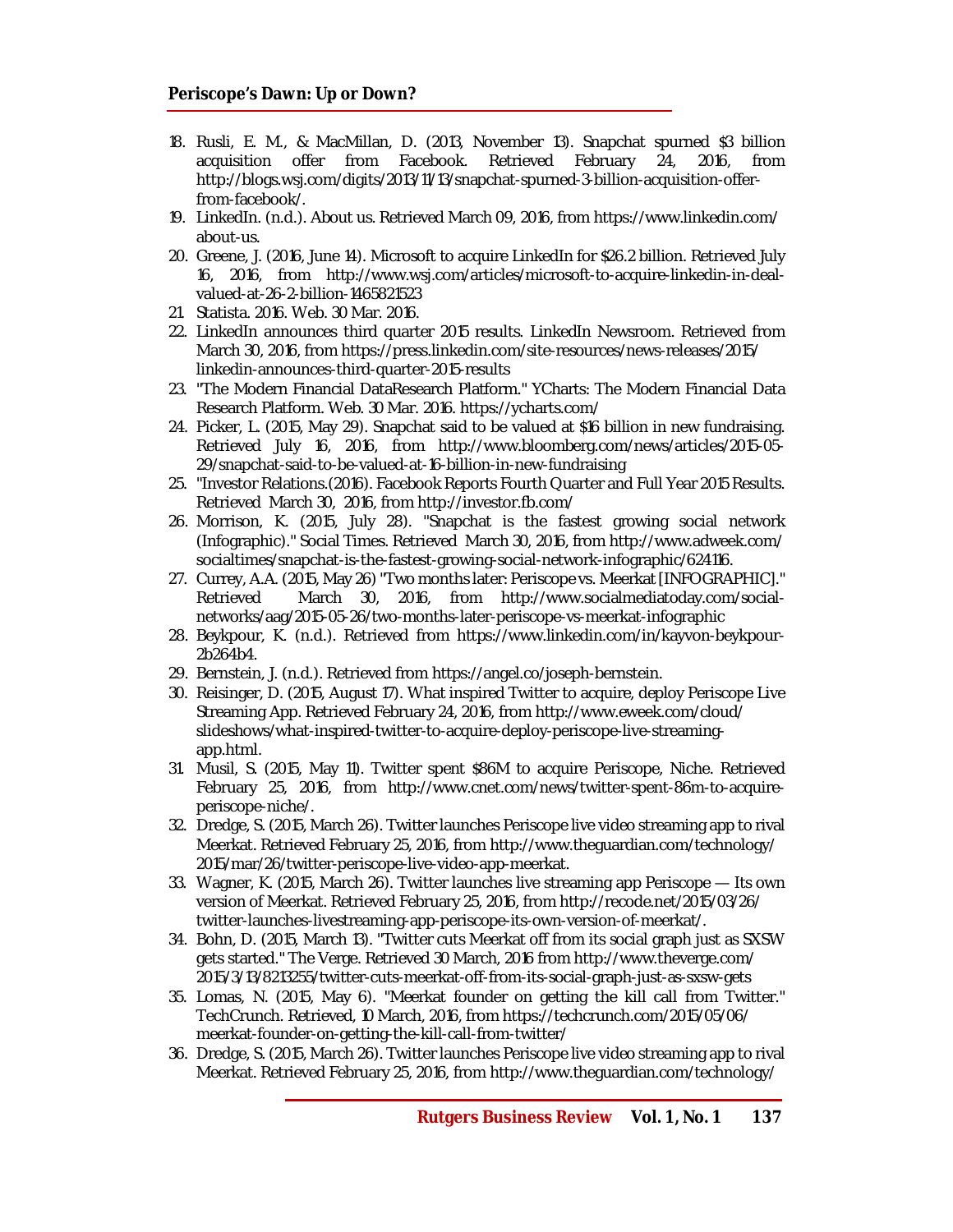- 18. Rusli, E. M., & MacMillan, D. (2013, November 13). Snapchat spurned \$3 billion acquisition offer from Facebook. Retrieved February 24, 2016, from [http://blogs.wsj.com/digits/2013/11/13/snapchat-spurned-3-billion-acquisition-offer](http://blogs.wsj.com/digits/2013/11/13/snapchat-spurned-3-billion-acquisition-offer-)from-facebook/.
- 19. LinkedIn. (n.d.). About us. Retrieved March 09, 2016, from<https://www.linkedin.com/> about-us.
- 20. Greene, J. (2016, June 14). Microsoft to acquire LinkedIn for \$26.2 billion. Retrieved July 16, 2016, from [http://www.wsj.com/articles/microsoft-to-acquire-linkedin-in-deal](http://www.wsj.com/articles/microsoft-to-acquire-linkedin-in-deal-)valued-at-26-2-billion-1465821523
- 21. Statista. 2016. Web. 30 Mar. 2016.
- 22. LinkedIn announces third quarter 2015 results. LinkedIn Newsroom. Retrieved from March 30, 2016, from <https://press.linkedin.com/site-resources/news-releases/2015/> linkedin-announces-third-quarter-2015-results
- 23. "The Modern Financial DataResearch Platform." YCharts: The Modern Financial Data Research Platform. Web. 30 Mar. 2016.<https://ycharts.com/>
- 24. Picker, L. (2015, May 29). Snapchat said to be valued at \$16 billion in new fundraising. Retrieved July 16, 2016, from <http://www.bloomberg.com/news/articles/2015-05-> 29/snapchat-said-to-be-valued-at-16-billion-in-new-fundraising
- 25. "Investor Relations.(2016). Facebook Reports Fourth Quarter and Full Year 2015 Results. Retrieved March 30, 2016, from <http://investor.fb.com/>
- 26. Morrison, K. (2015, July 28). "Snapchat is the fastest growing social network (Infographic)." Social Times. Retrieved March 30, 2016, from<http://www.adweek.com/> socialtimes/snapchat-is-the-fastest-growing-social-network-infographic/624116.
- 27. Currey, A.A. (2015, May 26) "Two months later: Periscope vs. Meerkat [INFOGRAPHIC]." Retrieved March 30, 2016, from [http://www.socialmediatoday.com/social](http://www.socialmediatoday.com/social-)networks/aag/2015-05-26/two-months-later-periscope-vs-meerkat-infographic
- 28. Beykpour, K. (n.d.). Retrieved from <https://www.linkedin.com/in/kayvon-beykpour->2b264b4.
- 29. Bernstein, J. (n.d.). Retrieved from<https://angel.co/joseph-bernstein.>
- 30. Reisinger, D. (2015, August 17). What inspired Twitter to acquire, deploy Periscope Live Streaming App. Retrieved February 24, 2016, from <http://www.eweek.com/cloud/> slideshows/what-inspired-twitter-to-acquire-deploy-periscope-live-streamingapp.html.
- 31. Musil, S. (2015, May 11). Twitter spent \$86M to acquire Periscope, Niche. Retrieved February 25, 2016, from [http://www.cnet.com/news/twitter-spent-86m-to-acquire](http://www.cnet.com/news/twitter-spent-86m-to-acquire-)periscope-niche/.
- 32. Dredge, S. (2015, March 26). Twitter launches Periscope live video streaming app to rival Meerkat. Retrieved February 25, 2016, from <http://www.theguardian.com/technology/> 2015/mar/26/twitter-periscope-live-video-app-meerkat.
- 33. Wagner, K. (2015, March 26). Twitter launches live streaming app Periscope Its own version of Meerkat. Retrieved February 25, 2016, from <http://recode.net/2015/03/26/> twitter-launches-livestreaming-app-periscope-its-own-version-of-meerkat/.
- 34. Bohn, D. (2015, March 13). "Twitter cuts Meerkat off from its social graph just as SXSW gets started." The Verge. Retrieved 30 March, 2016 from <http://www.theverge.com/> 2015/3/13/8213255/twitter-cuts-meerkat-off-from-its-social-graph-just-as-sxsw-gets
- 35. Lomas, N. (2015, May 6). "Meerkat founder on getting the kill call from Twitter." TechCrunch. Retrieved, 10 March, 2016, from <https://techcrunch.com/2015/05/06/> meerkat-founder-on-getting-the-kill-call-from-twitter/
- 36. Dredge, S. (2015, March 26). Twitter launches Periscope live video streaming app to rival Meerkat. Retrieved February 25, 2016, from <http://www.theguardian.com/technology/>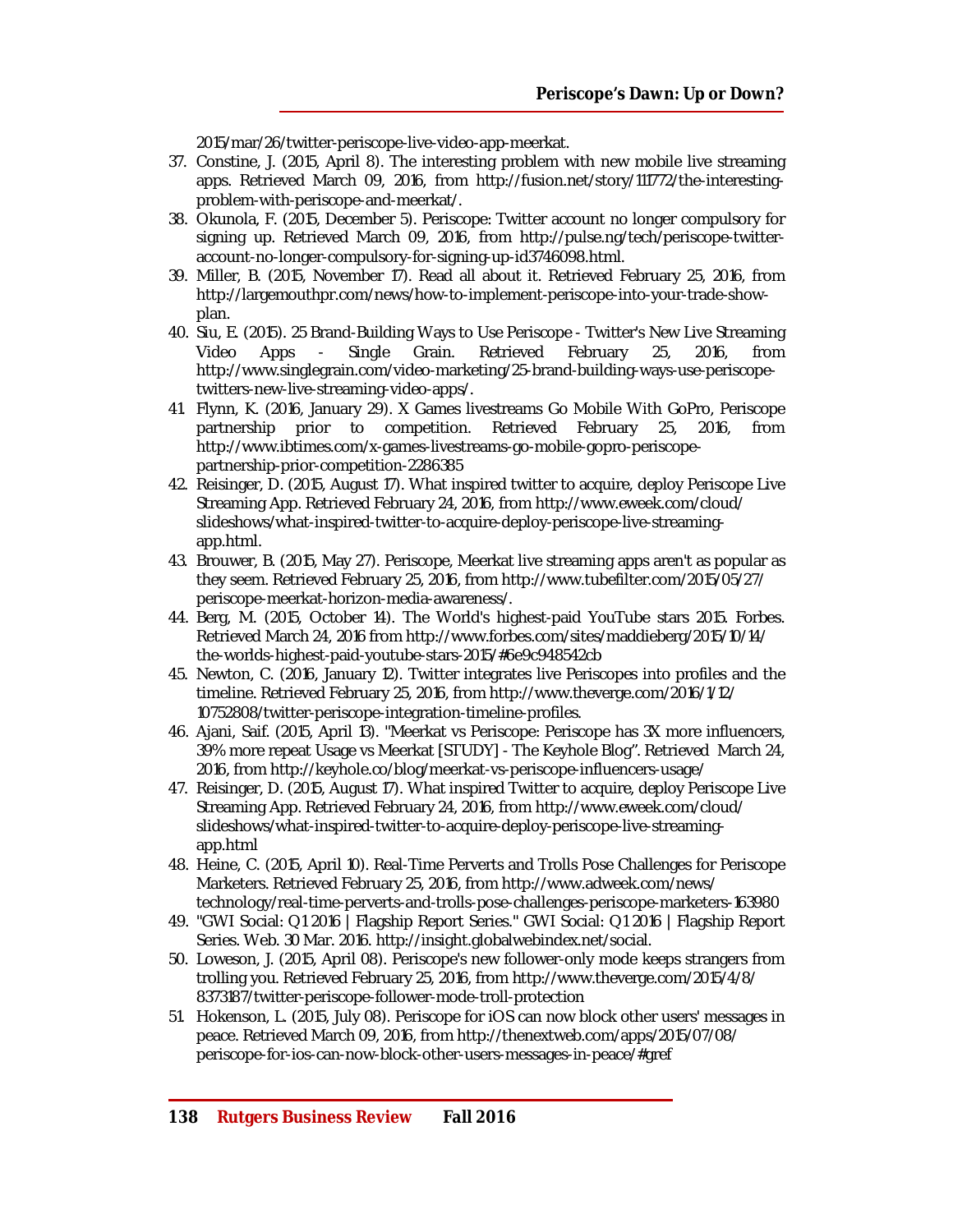2015/mar/26/twitter-periscope-live-video-app-meerkat.

- 37. Constine, J. (2015, April 8). The interesting problem with new mobile live streaming apps. Retrieved March 09, 2016, from [http://fusion.net/story/111772/the-interesting](http://fusion.net/story/111772/the-interesting-)problem-with-periscope-and-meerkat/.
- 38. Okunola, F. (2015, December 5). Periscope: Twitter account no longer compulsory for signing up. Retrieved March 09, 2016, from [http://pulse.ng/tech/periscope-twitter](http://pulse.ng/tech/periscope-twitter-)account-no-longer-compulsory-for-signing-up-id3746098.html.
- 39. Miller, B. (2015, November 17). Read all about it. Retrieved February 25, 2016, from [http://largemouthpr.com/news/how-to-implement-periscope-into-your-trade-show](http://largemouthpr.com/news/how-to-implement-periscope-into-your-trade-show-)plan.
- 40. Siu, E. (2015). 25 Brand-Building Ways to Use Periscope Twitter's New Live Streaming<br>Video Apps Single Grain. Retrieved February 25, 2016, from Video Apps - Single Grain. Retrieved February 25, 2016, from [http://www.singlegrain.com/video-marketing/25-brand-building-ways-use-periscope](http://www.singlegrain.com/video-marketing/25-brand-building-ways-use-periscope-)twitters-new-live-streaming-video-apps/.
- 41. Flynn, K. (2016, January 29). X Games livestreams Go Mobile With GoPro, Periscope partnership prior to competition. Retrieved February 25, 2016, from [http://www.ibtimes.com/x-games-livestreams-go-mobile-gopro-periscope](http://www.ibtimes.com/x-games-livestreams-go-mobile-gopro-periscope-)partnership-prior-competition-2286385
- 42. Reisinger, D. (2015, August 17). What inspired twitter to acquire, deploy Periscope Live Streaming App. Retrieved February 24, 2016, from <http://www.eweek.com/cloud/> slideshows/what-inspired-twitter-to-acquire-deploy-periscope-live-streamingapp.html.
- 43. Brouwer, B. (2015, May 27). Periscope, Meerkat live streaming apps aren't as popular as they seem. Retrieved February 25, 2016, from<http://www.tubefilter.com/2015/05/27/> periscope-meerkat-horizon-media-awareness/.
- 44. Berg, M. (2015, October 14). The World's highest-paid YouTube stars 2015. Forbes. Retrieved March 24, 2016 from <http://www.forbes.com/sites/maddieberg/2015/10/14/> the-worlds-highest-paid-youtube-stars-2015/#6e9c948542cb
- 45. Newton, C. (2016, January 12). Twitter integrates live Periscopes into profiles and the timeline. Retrieved February 25, 2016, from<http://www.theverge.com/2016/1/12/> 10752808/twitter-periscope-integration-timeline-profiles.
- 46. Ajani, Saif. (2015, April 13). "Meerkat vs Periscope: Periscope has 3X more influencers, 39% more repeat Usage vs Meerkat [STUDY] - The Keyhole Blog". Retrieved March 24, 2016, from <http://keyhole.co/blog/meerkat-vs-periscope-influencers-usage/>
- 47. Reisinger, D. (2015, August 17). What inspired Twitter to acquire, deploy Periscope Live Streaming App. Retrieved February 24, 2016, from <http://www.eweek.com/cloud/> slideshows/what-inspired-twitter-to-acquire-deploy-periscope-live-streamingapp.html
- 48. Heine, C. (2015, April 10). Real-Time Perverts and Trolls Pose Challenges for Periscope Marketers. Retrieved February 25, 2016, from<http://www.adweek.com/news/> technology/real-time-perverts-and-trolls-pose-challenges-periscope-marketers-163980
- 49. "GWI Social: Q1 2016 | Flagship Report Series." GWI Social: Q1 2016 | Flagship Report Series. Web. 30 Mar. 2016.<http://insight.globalwebindex.net/social.>
- 50. Loweson, J. (2015, April 08). Periscope's new follower-only mode keeps strangers from trolling you. Retrieved February 25, 2016, from <http://www.theverge.com/2015/4/8/> 8373187/twitter-periscope-follower-mode-troll-protection
- 51. Hokenson, L. (2015, July 08). Periscope for iOS can now block other users' messages in peace. Retrieved March 09, 2016, from <http://thenextweb.com/apps/2015/07/08/> periscope-for-ios-can-now-block-other-users-messages-in-peace/#gref